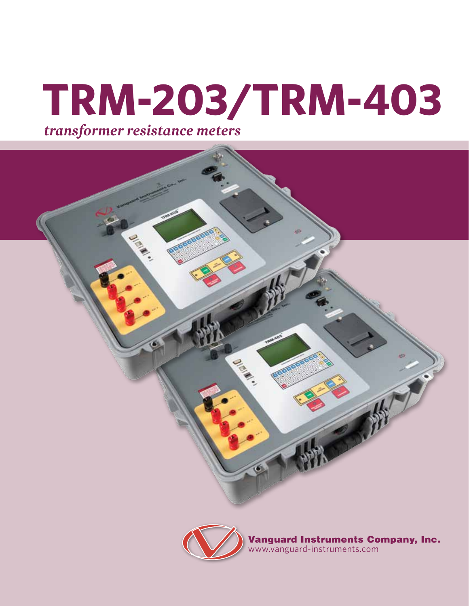# **TRM-203/TRM-403** *transformer resistance meters*





Vanguard Instruments Company, Inc. www.vanguard-instruments.com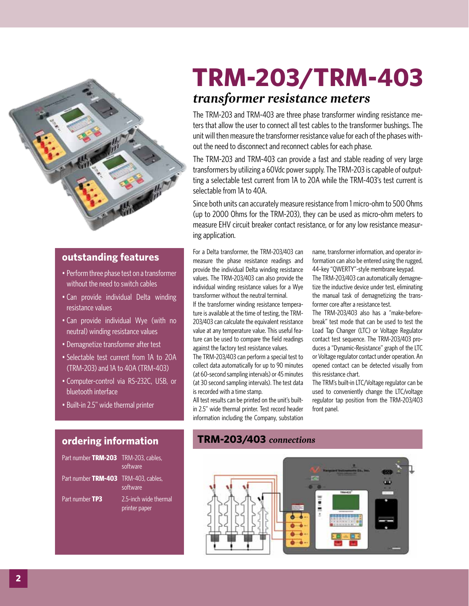

### **outstanding features**

- Perform three phase test on a transformer without the need to switch cables
- Can provide individual Delta winding resistance values
- Can provide individual Wye (with no neutral) winding resistance values
- Demagnetize transformer after test
- • Selectable test current from 1A to 20A (TRM-203) and 1A to 40A (TRM-403)
- • Computer-control via RS-232C, USB, or bluetooth interface
- Built-in 2.5" wide thermal printer

### **ordering information**

| Part number TRM-203 TRM-203, cables, | software                               |
|--------------------------------------|----------------------------------------|
| Part number TRM-403 TRM-403, cables, | software                               |
| Part number TP3                      | 2.5-inch wide thermal<br>printer paper |

## **TRM-203/TRM-403**

## *transformer resistance meters*

The TRM-203 and TRM-403 are three phase transformer winding resistance meters that allow the user to connect all test cables to the transformer bushings. The unit will then measure the transformer resistance value for each of the phases without the need to disconnect and reconnect cables for each phase.

The TRM-203 and TRM-403 can provide a fast and stable reading of very large transformers by utilizing a 60Vdc power supply. The TRM-203 is capable of outputting a selectable test current from 1A to 20A while the TRM-403's test current is selectable from 1A to 40A.

Since both units can accurately measure resistance from 1 micro-ohm to 500 Ohms (up to 2000 Ohms for the TRM-203), they can be used as micro-ohm meters to measure EHV circuit breaker contact resistance, or for any low resistance measuring application.

For a Delta transformer, the TRM-203/403 can measure the phase resistance readings and provide the individual Delta winding resistance values. The TRM-203/403 can also provide the individual winding resistance values for a Wye transformer without the neutral terminal.

If the transformer winding resistance temperature is available at the time of testing, the TRM-203/403 can calculate the equivalent resistance value at any temperature value. This useful feature can be used to compare the field readings against the factory test resistance values.

The TRM-203/403 can perform a special test to collect data automatically for up to 90 minutes (at 60-second sampling intervals) or 45 minutes (at 30 second sampling intervals). The test data is recorded with a time stamp.

All test results can be printed on the unit's builtin 2.5" wide thermal printer. Test record header information including the Company, substation name, transformer information, and operator information can also be entered using the rugged, 44–key "QWERTY"-style membrane keypad. The TRM-203/403 can automatically demagnetize the inductive device under test, eliminating the manual task of demagnetizing the transformer core after a resistance test.

The TRM-203/403 also has a "make-beforebreak" test mode that can be used to test the Load Tap Changer (LTC) or Voltage Regulator contact test sequence. The TRM-203/403 produces a "Dynamic-Resistance" graph of the LTC or Voltage regulator contact under operation. An opened contact can be detected visually from this resistance chart.

The TRM's built-in LTC/Voltage regulator can be used to conveniently change the LTC/voltage regulator tap position from the TRM-203/403 front panel.

### **TRM-203/403** *connections*

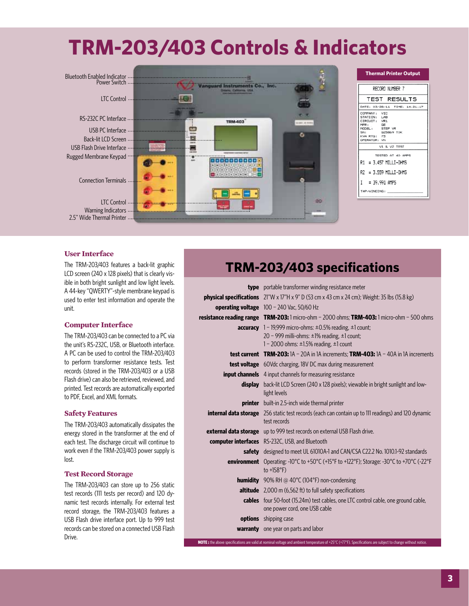## **TRM-203/403 Controls & Indicators**



#### **User Interface**

The TRM-203/403 features a back-lit graphic LCD screen (240 x 128 pixels) that is clearly visible in both bright sunlight and low light levels. A 44-key "QWERTY"-style membrane keypad is used to enter test information and operate the unit.

#### **Computer Interface**

The TRM-203/403 can be connected to a PC via the unit's RS-232C, USB, or Bluetooth interface. A PC can be used to control the TRM-203/403 to perform transformer resistance tests. Test records (stored in the TRM-203/403 or a USB Flash drive) can also be retrieved, reviewed, and printed. Test records are automatically exported to PDF, Excel, and XML formats.

#### **Safety Features**

The TRM-203/403 automatically dissipates the energy stored in the transformer at the end of each test. The discharge circuit will continue to work even if the TRM-203/403 power supply is lost.

#### **Test Record Storage**

The TRM-203/403 can store up to 256 static test records (111 tests per record) and 120 dynamic test records internally. For external test record storage, the TRM-203/403 features a USB Flash drive interface port. Up to 999 test records can be stored on a connected USB Flash Drive.

## **TRM-203/403 specifications**

| <b>type</b> portable transformer winding resistance meter                                                                  |
|----------------------------------------------------------------------------------------------------------------------------|
| <b>physical specifications</b> $21''W \times 17''H \times 9'' D$ (53 cm x 43 cm x 24 cm); Weight: 35 lbs (15.8 kg)         |
| <b>operating voltage</b> $100 - 240$ Vac, 50/60 Hz                                                                         |
| <b>resistance reading range TRM-203:</b> 1 micro-ohm – 2000 ohms; <b>TRM-403:</b> 1 micro-ohm – 500 ohms                   |
| <b>accuracy</b> $1 - 19,999$ micro-ohms: $\pm 0.5\%$ reading, $\pm 1$ count;                                               |
| 20 - 999 milli-ohms: $\pm$ 1% reading, $\pm$ 1 count;                                                                      |
| 1 - 2000 ohms: $\pm$ 1.5% reading. $\pm$ 1 count                                                                           |
| <b>test current TRM-203:</b> $1A - 20A$ in $1A$ increments; <b>TRM-403:</b> $1A - 40A$ in $1A$ increments                  |
| <b>test voltage</b> 60Vdc charging, 18V DC max during measurement                                                          |
| <b>input channels</b> 4 input channels for measuring resistance                                                            |
| <b>display</b> back-lit LCD Screen (240 x 128 pixels); viewable in bright sunlight and low-<br>light levels                |
| <b>printer</b> built-in 2.5-inch wide thermal printer                                                                      |
| <b>internal data storage</b> 256 static test records (each can contain up to 111 readings) and 120 dynamic<br>test records |
| external data storage up to 999 test records on external USB Flash drive.                                                  |
| computer interfaces RS-232C, USB, and Bluetooth                                                                            |
| safety designed to meet UL 61010A-1 and CAN/CSA C22.2 No. 1010.1-92 standards                                              |
| <b>environment</b> Operating: -10°C to +50°C (+15°F to +122°F); Storage: -30°C to +70°C (-22°F<br>to $+158^{\circ}F$ )     |
| <b>humidity</b> 90% RH @ 40 $^{\circ}$ C (104 $^{\circ}$ F) non-condensing                                                 |
| <b>altitude</b> 2,000 m (6,562 ft) to full safety specifications                                                           |
| <b>cables</b> four 50-foot (15.24m) test cables, one LTC control cable, one ground cable,<br>one power cord, one USB cable |
| <b>options</b> shipping case                                                                                               |
| <b>warranty</b> one year on parts and labor                                                                                |
|                                                                                                                            |

**NOTE :** the above specifications are valid at nominal voltage and ambient temperature of +25°C (+77°F). Specifications are subject to change without notice.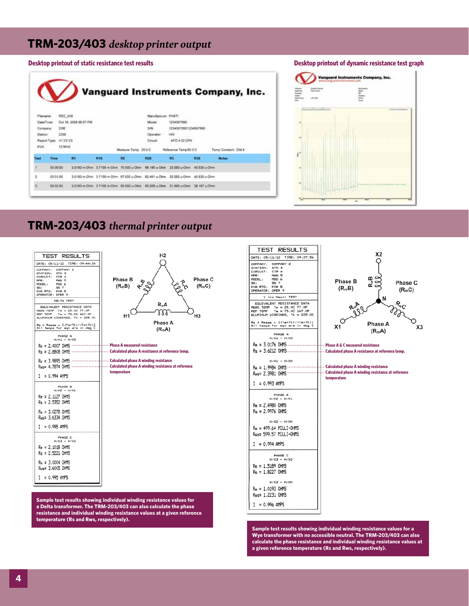## **TRM-203/403** *desktop printer output*







## **TRM-203/403** *thermal printer output*



**Sample test results showing individual winding resistance values for a Delta transformer. The TRM-203/403 can also calculate the phase resistance and individual winding resistance values at a given reference temperature (Rs and Rws, respectively).**



**Sample test results showing individual winding resistance values for a Wye transformer with no accessible neutral. The TRM-203/403 can also calculate the phase resistance and individual winding resistance values at a given reference temperature (Rs and Rws, respectively).**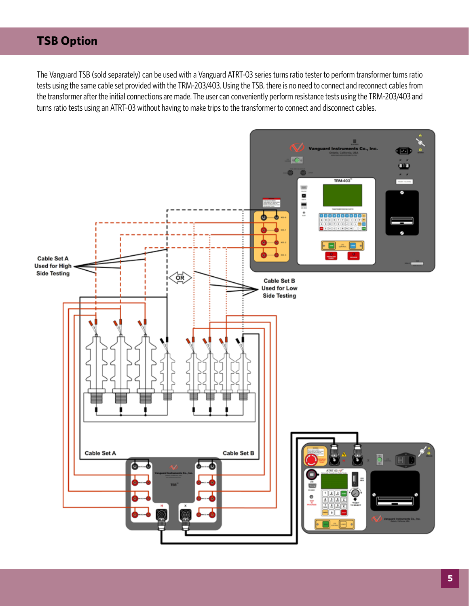## **TSB Option**

The Vanguard TSB (sold separately) can be used with a Vanguard ATRT-03 series turns ratio tester to perform transformer turns ratio tests using the same cable set provided with the TRM-203/403. Using the TSB, there is no need to connect and reconnect cables from the transformer after the initial connections are made. The user can conveniently perform resistance tests using the TRM-203/403 and turns ratio tests using an ATRT-03 without having to make trips to the transformer to connect and disconnect cables.